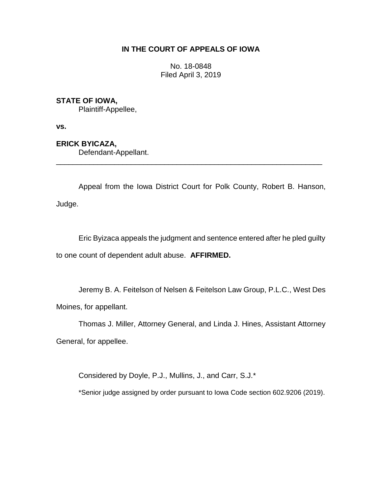# **IN THE COURT OF APPEALS OF IOWA**

No. 18-0848 Filed April 3, 2019

# **STATE OF IOWA,**

Plaintiff-Appellee,

**vs.**

## **ERICK BYICAZA,**

Defendant-Appellant.

Appeal from the Iowa District Court for Polk County, Robert B. Hanson, Judge.

\_\_\_\_\_\_\_\_\_\_\_\_\_\_\_\_\_\_\_\_\_\_\_\_\_\_\_\_\_\_\_\_\_\_\_\_\_\_\_\_\_\_\_\_\_\_\_\_\_\_\_\_\_\_\_\_\_\_\_\_\_\_\_\_

Eric Byizaca appeals the judgment and sentence entered after he pled guilty to one count of dependent adult abuse. **AFFIRMED.**

Jeremy B. A. Feitelson of Nelsen & Feitelson Law Group, P.L.C., West Des Moines, for appellant.

Thomas J. Miller, Attorney General, and Linda J. Hines, Assistant Attorney General, for appellee.

Considered by Doyle, P.J., Mullins, J., and Carr, S.J.\*

\*Senior judge assigned by order pursuant to Iowa Code section 602.9206 (2019).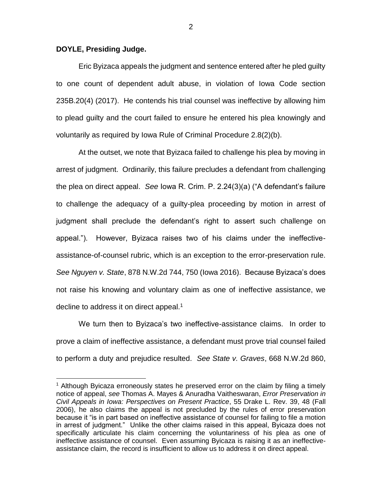### **DOYLE, Presiding Judge.**

 $\overline{a}$ 

Eric Byizaca appeals the judgment and sentence entered after he pled guilty to one count of dependent adult abuse, in violation of Iowa Code section 235B.20(4) (2017). He contends his trial counsel was ineffective by allowing him to plead guilty and the court failed to ensure he entered his plea knowingly and voluntarily as required by Iowa Rule of Criminal Procedure 2.8(2)(b).

At the outset, we note that Byizaca failed to challenge his plea by moving in arrest of judgment. Ordinarily, this failure precludes a defendant from challenging the plea on direct appeal. *See* Iowa R. Crim. P. 2.24(3)(a) ("A defendant's failure to challenge the adequacy of a guilty-plea proceeding by motion in arrest of judgment shall preclude the defendant's right to assert such challenge on appeal."). However, Byizaca raises two of his claims under the ineffectiveassistance-of-counsel rubric, which is an exception to the error-preservation rule. *See Nguyen v. State*, 878 N.W.2d 744, 750 (Iowa 2016). Because Byizaca's does not raise his knowing and voluntary claim as one of ineffective assistance, we decline to address it on direct appeal.<sup>1</sup>

We turn then to Byizaca's two ineffective-assistance claims. In order to prove a claim of ineffective assistance, a defendant must prove trial counsel failed to perform a duty and prejudice resulted. *See State v. Graves*, 668 N.W.2d 860,

<sup>&</sup>lt;sup>1</sup> Although Byicaza erroneously states he preserved error on the claim by filing a timely notice of appeal, *see* Thomas A. Mayes & Anuradha Vaitheswaran, *Error Preservation in Civil Appeals in Iowa: Perspectives on Present Practice*, 55 Drake L. Rev. 39, 48 (Fall 2006), he also claims the appeal is not precluded by the rules of error preservation because it "is in part based on ineffective assistance of counsel for failing to file a motion in arrest of judgment." Unlike the other claims raised in this appeal, Byicaza does not specifically articulate his claim concerning the voluntariness of his plea as one of ineffective assistance of counsel. Even assuming Byicaza is raising it as an ineffectiveassistance claim, the record is insufficient to allow us to address it on direct appeal.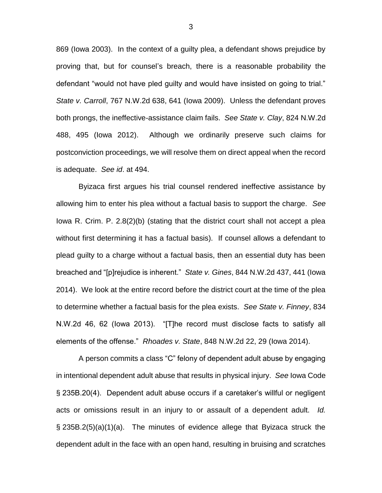869 (Iowa 2003). In the context of a guilty plea, a defendant shows prejudice by proving that, but for counsel's breach, there is a reasonable probability the defendant "would not have pled guilty and would have insisted on going to trial." *State v. Carroll*, 767 N.W.2d 638, 641 (Iowa 2009). Unless the defendant proves both prongs, the ineffective-assistance claim fails. *See State v. Clay*, 824 N.W.2d 488, 495 (Iowa 2012). Although we ordinarily preserve such claims for postconviction proceedings, we will resolve them on direct appeal when the record is adequate. *See id*. at 494.

Byizaca first argues his trial counsel rendered ineffective assistance by allowing him to enter his plea without a factual basis to support the charge. *See* Iowa R. Crim. P. 2.8(2)(b) (stating that the district court shall not accept a plea without first determining it has a factual basis). If counsel allows a defendant to plead guilty to a charge without a factual basis, then an essential duty has been breached and "[p]rejudice is inherent." *State v. Gines*, 844 N.W.2d 437, 441 (Iowa 2014). We look at the entire record before the district court at the time of the plea to determine whether a factual basis for the plea exists. *See State v. Finney*, 834 N.W.2d 46, 62 (Iowa 2013). "[T]he record must disclose facts to satisfy all elements of the offense." *Rhoades v. State*, 848 N.W.2d 22, 29 (Iowa 2014).

A person commits a class "C" felony of dependent adult abuse by engaging in intentional dependent adult abuse that results in physical injury. *See* Iowa Code § 235B.20(4). Dependent adult abuse occurs if a caretaker's willful or negligent acts or omissions result in an injury to or assault of a dependent adult. *Id.* § 235B.2(5)(a)(1)(a). The minutes of evidence allege that Byizaca struck the dependent adult in the face with an open hand, resulting in bruising and scratches

3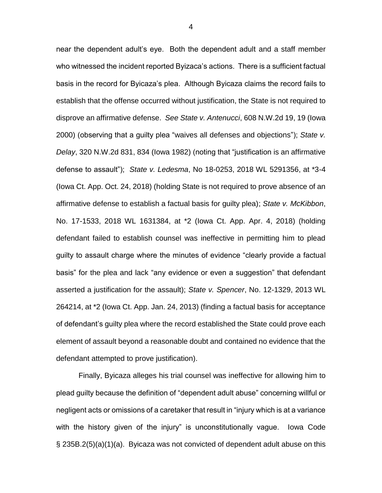near the dependent adult's eye. Both the dependent adult and a staff member who witnessed the incident reported Byizaca's actions. There is a sufficient factual basis in the record for Byicaza's plea. Although Byicaza claims the record fails to establish that the offense occurred without justification, the State is not required to disprove an affirmative defense. *See State v. Antenucci*, 608 N.W.2d 19, 19 (Iowa 2000) (observing that a guilty plea "waives all defenses and objections"); *State v. Delay*, 320 N.W.2d 831, 834 (Iowa 1982) (noting that "justification is an affirmative defense to assault"); *State v. Ledesma*, No 18-0253, 2018 WL 5291356, at \*3-4 (Iowa Ct. App. Oct. 24, 2018) (holding State is not required to prove absence of an affirmative defense to establish a factual basis for guilty plea); *State v. McKibbon*, No. 17-1533, 2018 WL 1631384, at \*2 (Iowa Ct. App. Apr. 4, 2018) (holding defendant failed to establish counsel was ineffective in permitting him to plead guilty to assault charge where the minutes of evidence "clearly provide a factual basis" for the plea and lack "any evidence or even a suggestion" that defendant asserted a justification for the assault); *State v. Spencer*, No. 12-1329, 2013 WL 264214, at \*2 (Iowa Ct. App. Jan. 24, 2013) (finding a factual basis for acceptance of defendant's guilty plea where the record established the State could prove each element of assault beyond a reasonable doubt and contained no evidence that the defendant attempted to prove justification).

Finally, Byicaza alleges his trial counsel was ineffective for allowing him to plead guilty because the definition of "dependent adult abuse" concerning willful or negligent acts or omissions of a caretaker that result in "injury which is at a variance with the history given of the injury" is unconstitutionally vague. Iowa Code § 235B.2(5)(a)(1)(a). Byicaza was not convicted of dependent adult abuse on this